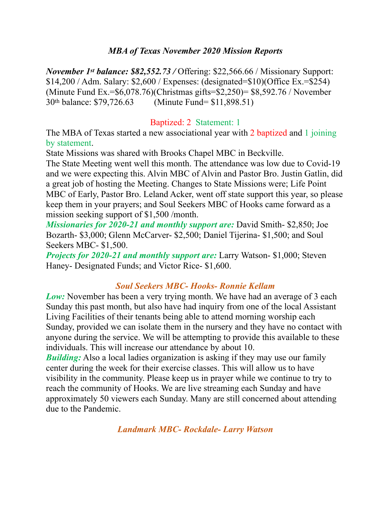#### *MBA of Texas November 2020 Mission Reports*

*November 1st balance: \$82,552.73 /* Offering: \$22,566.66 / Missionary Support: \$14,200 / Adm. Salary: \$2,600 / Expenses: (designated=\$10)(Office Ex.=\$254) (Minute Fund Ex.=\$6,078.76)(Christmas gifts=\$2,250)= \$8,592.76 / November 30th balance: \$79,726.63 (Minute Fund= \$11,898.51)

#### Baptized: 2 Statement: 1

The MBA of Texas started a new associational year with 2 baptized and 1 joining by statement.

State Missions was shared with Brooks Chapel MBC in Beckville.

The State Meeting went well this month. The attendance was low due to Covid-19 and we were expecting this. Alvin MBC of Alvin and Pastor Bro. Justin Gatlin, did a great job of hosting the Meeting. Changes to State Missions were; Life Point MBC of Early, Pastor Bro. Leland Acker, went off state support this year, so please keep them in your prayers; and Soul Seekers MBC of Hooks came forward as a mission seeking support of \$1,500 /month.

*Missionaries for 2020-21 and monthly support are:* David Smith- \$2,850; Joe Bozarth- \$3,000; Glenn McCarver- \$2,500; Daniel Tijerina- \$1,500; and Soul Seekers MBC- \$1,500.

*Projects for 2020-21 and monthly support are:* Larry Watson- \$1,000; Steven Haney- Designated Funds; and Victor Rice- \$1,600.

#### *Soul Seekers MBC- Hooks- Ronnie Kellam*

*Low:* November has been a very trying month. We have had an average of 3 each Sunday this past month, but also have had inquiry from one of the local Assistant Living Facilities of their tenants being able to attend morning worship each Sunday, provided we can isolate them in the nursery and they have no contact with anyone during the service. We will be attempting to provide this available to these individuals. This will increase our attendance by about 10.

*Building:* Also a local ladies organization is asking if they may use our family center during the week for their exercise classes. This will allow us to have visibility in the community. Please keep us in prayer while we continue to try to reach the community of Hooks. We are live streaming each Sunday and have approximately 50 viewers each Sunday. Many are still concerned about attending due to the Pandemic.

*Landmark MBC- Rockdale- Larry Watson*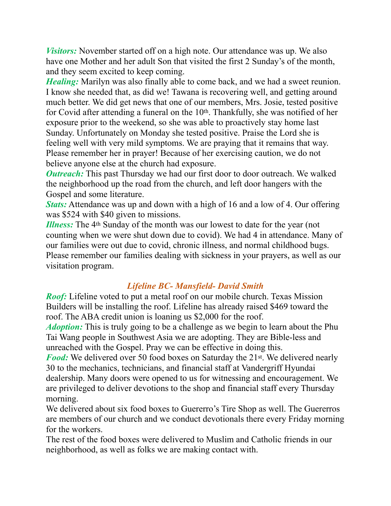*Visitors:* November started off on a high note. Our attendance was up. We also have one Mother and her adult Son that visited the first 2 Sunday's of the month, and they seem excited to keep coming.

*Healing:* Marilyn was also finally able to come back, and we had a sweet reunion. I know she needed that, as did we! Tawana is recovering well, and getting around much better. We did get news that one of our members, Mrs. Josie, tested positive for Covid after attending a funeral on the 10<sup>th</sup>. Thankfully, she was notified of her exposure prior to the weekend, so she was able to proactively stay home last Sunday. Unfortunately on Monday she tested positive. Praise the Lord she is feeling well with very mild symptoms. We are praying that it remains that way. Please remember her in prayer! Because of her exercising caution, we do not believe anyone else at the church had exposure.

*Outreach:* This past Thursday we had our first door to door outreach. We walked the neighborhood up the road from the church, and left door hangers with the Gospel and some literature.

*Stats:* Attendance was up and down with a high of 16 and a low of 4. Our offering was \$524 with \$40 given to missions.

*Illness*: The 4<sup>th</sup> Sunday of the month was our lowest to date for the year (not counting when we were shut down due to covid). We had 4 in attendance. Many of our families were out due to covid, chronic illness, and normal childhood bugs. Please remember our families dealing with sickness in your prayers, as well as our visitation program.

### *Lifeline BC- Mansfield- David Smith*

*Roof:* Lifeline voted to put a metal roof on our mobile church. Texas Mission Builders will be installing the roof. Lifeline has already raised \$469 toward the roof. The ABA credit union is loaning us \$2,000 for the roof.

*Adoption:* This is truly going to be a challenge as we begin to learn about the Phu Tai Wang people in Southwest Asia we are adopting. They are Bible-less and unreached with the Gospel. Pray we can be effective in doing this.

*Food:* We delivered over 50 food boxes on Saturday the 21<sup>st</sup>. We delivered nearly 30 to the mechanics, technicians, and financial staff at Vandergriff Hyundai dealership. Many doors were opened to us for witnessing and encouragement. We are privileged to deliver devotions to the shop and financial staff every Thursday morning.

We delivered about six food boxes to Guererro's Tire Shop as well. The Guererros are members of our church and we conduct devotionals there every Friday morning for the workers.

The rest of the food boxes were delivered to Muslim and Catholic friends in our neighborhood, as well as folks we are making contact with.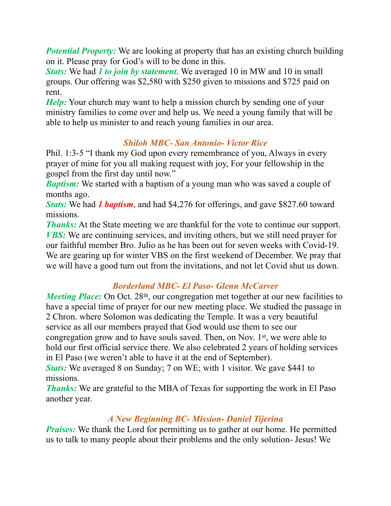*Potential Property:* We are looking at property that has an existing church building on it. Please pray for God's will to be done in this.

*Stats:* We had *1 to join by statement*. We averaged 10 in MW and 10 in small groups. Our offering was \$2,580 with \$250 given to missions and \$725 paid on rent.

*Help*: Your church may want to help a mission church by sending one of your ministry families to come over and help us. We need a young family that will be able to help us minister to and reach young families in our area.

## *Shiloh MBC- San Antonio- Victor Rice*

Phil. 1:3-5 "I thank my God upon every remembrance of you, Always in every prayer of mine for you all making request with joy, For your fellowship in the gospel from the first day until now."

*Baptism:* We started with a baptism of a young man who was saved a couple of months ago.

*Stats:* We had *1 baptism*, and had \$4,276 for offerings, and gave \$827.60 toward missions.

*Thanks:* At the State meeting we are thankful for the vote to continue our support. *VBS:* We are continuing services, and inviting others, but we still need prayer for our faithful member Bro. Julio as he has been out for seven weeks with Covid-19. We are gearing up for winter VBS on the first weekend of December. We pray that we will have a good turn out from the invitations, and not let Covid shut us down.

# *Borderland MBC- El Paso- Glenn McCarver*

*Meeting Place:* On Oct. 28<sup>th</sup>, our congregation met together at our new facilities to have a special time of prayer for our new meeting place. We studied the passage in 2 Chron. where Solomon was dedicating the Temple. It was a very beautiful service as all our members prayed that God would use them to see our congregation grow and to have souls saved. Then, on Nov. 1st, we were able to hold our first official service there. We also celebrated 2 years of holding services in El Paso (we weren't able to have it at the end of September).

*Stats:* We averaged 8 on Sunday; 7 on WE; with 1 visitor. We gave \$441 to missions.

*Thanks:* We are grateful to the MBA of Texas for supporting the work in El Paso another year.

# *A New Beginning BC- Mission- Daniel Tijerina*

*Praises:* We thank the Lord for permitting us to gather at our home. He permitted us to talk to many people about their problems and the only solution- Jesus! We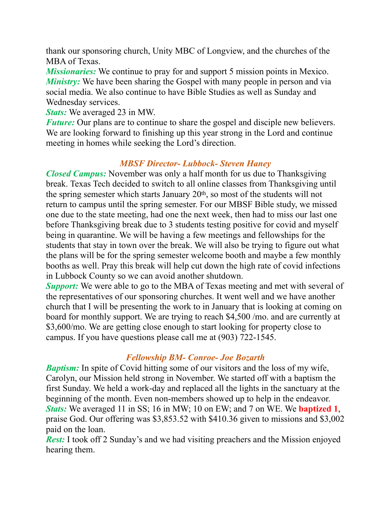thank our sponsoring church, Unity MBC of Longview, and the churches of the MBA of Texas.

*Missionaries:* We continue to pray for and support 5 mission points in Mexico. *Ministry:* We have been sharing the Gospel with many people in person and via social media. We also continue to have Bible Studies as well as Sunday and Wednesday services.

*Stats:* We averaged 23 in MW.

*Future:* Our plans are to continue to share the gospel and disciple new believers. We are looking forward to finishing up this year strong in the Lord and continue meeting in homes while seeking the Lord's direction.

### *MBSF Director- Lubbock- Steven Haney*

*Closed Campus:* November was only a half month for us due to Thanksgiving break. Texas Tech decided to switch to all online classes from Thanksgiving until the spring semester which starts January 20th, so most of the students will not return to campus until the spring semester. For our MBSF Bible study, we missed one due to the state meeting, had one the next week, then had to miss our last one before Thanksgiving break due to 3 students testing positive for covid and myself being in quarantine. We will be having a few meetings and fellowships for the students that stay in town over the break. We will also be trying to figure out what the plans will be for the spring semester welcome booth and maybe a few monthly booths as well. Pray this break will help cut down the high rate of covid infections in Lubbock County so we can avoid another shutdown.

*Support:* We were able to go to the MBA of Texas meeting and met with several of the representatives of our sponsoring churches. It went well and we have another church that I will be presenting the work to in January that is looking at coming on board for monthly support. We are trying to reach \$4,500 /mo. and are currently at \$3,600/mo. We are getting close enough to start looking for property close to campus. If you have questions please call me at (903) 722-1545.

## *Fellowship BM- Conroe- Joe Bozarth*

*Baptism:* In spite of Covid hitting some of our visitors and the loss of my wife, Carolyn, our Mission held strong in November. We started off with a baptism the first Sunday. We held a work-day and replaced all the lights in the sanctuary at the beginning of the month. Even non-members showed up to help in the endeavor. *Stats:* We averaged 11 in SS; 16 in MW; 10 on EW; and 7 on WE. We **baptized 1**, praise God. Our offering was \$3,853.52 with \$410.36 given to missions and \$3,002 paid on the loan.

*Rest:* I took off 2 Sunday's and we had visiting preachers and the Mission enjoyed hearing them.